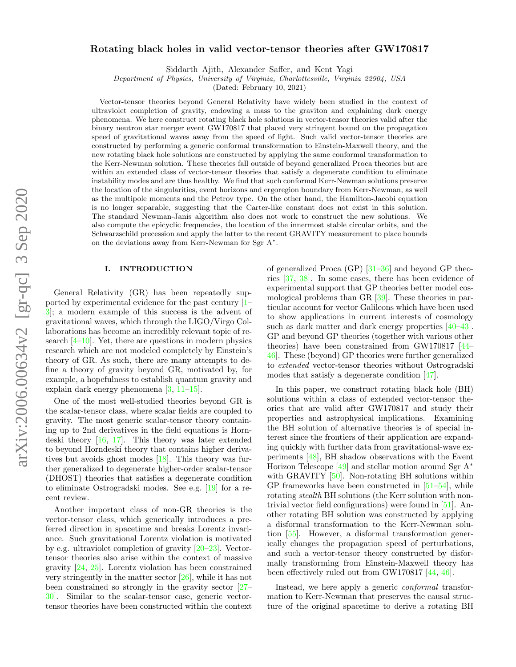# arXiv:2006.00634v2 [gr-qc] 3 Sep 2020 arXiv:2006.00634v2 [gr-qc] 3 Sep 2020

# Rotating black holes in valid vector-tensor theories after GW170817

Siddarth Ajith, Alexander Saffer, and Kent Yagi

Department of Physics, University of Virginia, Charlottesville, Virginia 22904, USA

(Dated: February 10, 2021)

Vector-tensor theories beyond General Relativity have widely been studied in the context of ultraviolet completion of gravity, endowing a mass to the graviton and explaining dark energy phenomena. We here construct rotating black hole solutions in vector-tensor theories valid after the binary neutron star merger event GW170817 that placed very stringent bound on the propagation speed of gravitational waves away from the speed of light. Such valid vector-tensor theories are constructed by performing a generic conformal transformation to Einstein-Maxwell theory, and the new rotating black hole solutions are constructed by applying the same conformal transformation to the Kerr-Newman solution. These theories fall outside of beyond generalized Proca theories but are within an extended class of vector-tensor theories that satisfy a degenerate condition to eliminate instability modes and are thus healthy. We find that such conformal Kerr-Newman solutions preserve the location of the singularities, event horizons and ergoregion boundary from Kerr-Newman, as well as the multipole moments and the Petrov type. On the other hand, the Hamilton-Jacobi equation is no longer separable, suggesting that the Carter-like constant does not exist in this solution. The standard Newman-Janis algorithm also does not work to construct the new solutions. We also compute the epicyclic frequencies, the location of the innermost stable circular orbits, and the Schwarzschild precession and apply the latter to the recent GRAVITY measurement to place bounds on the deviations away from Kerr-Newman for Sgr A<sup>∗</sup> .

# I. INTRODUCTION

General Relativity (GR) has been repeatedly supported by experimental evidence for the past century [\[1–](#page-10-0) [3\]](#page-10-1); a modern example of this success is the advent of gravitational waves, which through the LIGO/Virgo Collaborations has become an incredibly relevant topic of research  $[4-10]$  $[4-10]$ . Yet, there are questions in modern physics research which are not modeled completely by Einstein's theory of GR. As such, there are many attempts to define a theory of gravity beyond GR, motivated by, for example, a hopefulness to establish quantum gravity and explain dark energy phenomena [\[3,](#page-10-1) [11–](#page-10-4)[15\]](#page-10-5).

One of the most well-studied theories beyond GR is the scalar-tensor class, where scalar fields are coupled to gravity. The most generic scalar-tensor theory containing up to 2nd derivatives in the field equations is Horndeski theory [\[16,](#page-10-6) [17\]](#page-10-7). This theory was later extended to beyond Horndeski theory that contains higher derivatives but avoids ghost modes [\[18\]](#page-10-8). This theory was further generalized to degenerate higher-order scalar-tensor (DHOST) theories that satisfies a degenerate condition to eliminate Ostrogradski modes. See e.g. [\[19\]](#page-10-9) for a recent review.

Another important class of non-GR theories is the vector-tensor class, which generically introduces a preferred direction in spacetime and breaks Lorentz invariance. Such gravitational Lorentz violation is motivated by e.g. ultraviolet completion of gravity [\[20–](#page-10-10)[23\]](#page-10-11). Vectortensor theories also arise within the context of massive gravity [\[24,](#page-10-12) [25\]](#page-10-13). Lorentz violation has been constrained very stringently in the matter sector [\[26\]](#page-10-14), while it has not been constrained so strongly in the gravity sector [\[27–](#page-10-15) [30\]](#page-10-16). Similar to the scalar-tensor case, generic vectortensor theories have been constructed within the context

of generalized Proca (GP)  $[31-36]$  $[31-36]$  and beyond GP theories [\[37,](#page-10-19) [38\]](#page-10-20). In some cases, there has been evidence of experimental support that GP theories better model cosmological problems than GR [\[39\]](#page-10-21). These theories in particular account for vector Galileons which have been used to show applications in current interests of cosmology such as dark matter and dark energy properties [\[40–](#page-10-22)[43\]](#page-10-23). GP and beyond GP theories (together with various other theories) have been constrained from GW170817 [\[44–](#page-10-24) [46\]](#page-10-25). These (beyond) GP theories were further generalized to extended vector-tensor theories without Ostrogradski modes that satisfy a degenerate condition [\[47\]](#page-10-26).

In this paper, we construct rotating black hole (BH) solutions within a class of extended vector-tensor theories that are valid after GW170817 and study their properties and astrophysical implications. Examining the BH solution of alternative theories is of special interest since the frontiers of their application are expanding quickly with further data from gravitational-wave experiments [\[48\]](#page-10-27), BH shadow observations with the Event Horizon Telescope [\[49\]](#page-10-28) and stellar motion around Sgr A<sup>∗</sup> with GRAVITY [\[50\]](#page-10-29). Non-rotating BH solutions within GP frameworks have been constructed in [\[51–](#page-11-0)[54\]](#page-11-1), while rotating *stealth* BH solutions (the Kerr solution with nontrivial vector field configurations) were found in [\[51\]](#page-11-0). Another rotating BH solution was constructed by applying a disformal transformation to the Kerr-Newman solution [\[55\]](#page-11-2). However, a disformal transformation generically changes the propagation speed of perturbations, and such a vector-tensor theory constructed by disformally transforming from Einstein-Maxwell theory has been effectively ruled out from GW170817 [\[44,](#page-10-24) [46\]](#page-10-25).

Instead, we here apply a generic conformal transformation to Kerr-Newman that preserves the causal structure of the original spacetime to derive a rotating BH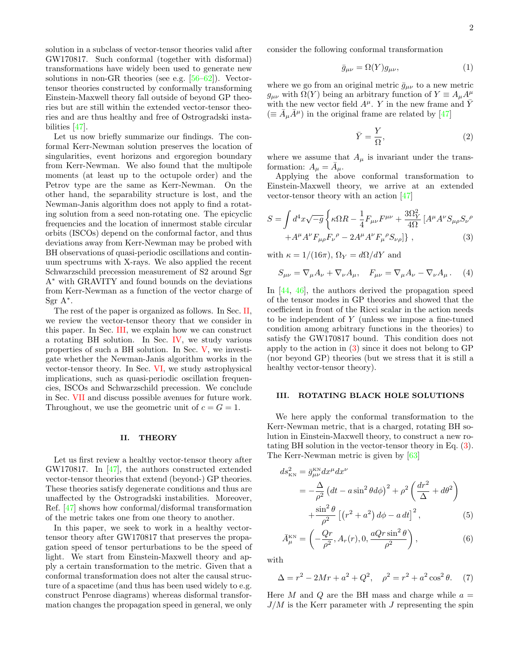solution in a subclass of vector-tensor theories valid after GW170817. Such conformal (together with disformal) transformations have widely been used to generate new solutions in non-GR theories (see e.g. [\[56–](#page-11-3)[62\]](#page-11-4)). Vectortensor theories constructed by conformally transforming Einstein-Maxwell theory fall outside of beyond GP theories but are still within the extended vector-tensor theories and are thus healthy and free of Ostrogradski instabilities [\[47\]](#page-10-26).

Let us now briefly summarize our findings. The conformal Kerr-Newman solution preserves the location of singularities, event horizons and ergoregion boundary from Kerr-Newman. We also found that the multipole moments (at least up to the octupole order) and the Petrov type are the same as Kerr-Newman. On the other hand, the separability structure is lost, and the Newman-Janis algorithm does not apply to find a rotating solution from a seed non-rotating one. The epicyclic frequencies and the location of innermost stable circular orbits (ISCOs) depend on the conformal factor, and thus deviations away from Kerr-Newman may be probed with BH observations of quasi-periodic oscillations and continuum spectrums with X-rays. We also applied the recent Schwarzschild precession measurement of S2 around Sgr A<sup>∗</sup> with GRAVITY and found bounds on the deviations from Kerr-Newman as a function of the vector charge of Sgr A<sup>∗</sup> .

The rest of the paper is organized as follows. In Sec. [II,](#page-1-0) we review the vector-tensor theory that we consider in this paper. In Sec. [III,](#page-1-1) we explain how we can construct a rotating BH solution. In Sec. [IV,](#page-2-0) we study various properties of such a BH solution. In Sec. [V,](#page-5-0) we investigate whether the Newman-Janis algorithm works in the vector-tensor theory. In Sec. [VI,](#page-7-0) we study astrophysical implications, such as quasi-periodic oscillation frequencies, ISCOs and Schwarzschild precession. We conclude in Sec. [VII](#page-9-0) and discuss possible avenues for future work. Throughout, we use the geometric unit of  $c = G = 1$ .

### <span id="page-1-0"></span>II. THEORY

Let us first review a healthy vector-tensor theory after GW170817. In [\[47\]](#page-10-26), the authors constructed extended vector-tensor theories that extend (beyond-) GP theories. These theories satisfy degenerate conditions and thus are unaffected by the Ostrogradski instabilities. Moreover, Ref. [\[47\]](#page-10-26) shows how conformal/disformal transformation of the metric takes one from one theory to another.

In this paper, we seek to work in a healthy vectortensor theory after GW170817 that preserves the propagation speed of tensor perturbations to be the speed of light. We start from Einstein-Maxwell theory and apply a certain transformation to the metric. Given that a conformal transformation does not alter the causal structure of a spacetime (and thus has been used widely to e.g. construct Penrose diagrams) whereas disformal transformation changes the propagation speed in general, we only

consider the following conformal transformation

<span id="page-1-3"></span>
$$
\bar{g}_{\mu\nu} = \Omega(Y) g_{\mu\nu},\tag{1}
$$

where we go from an original metric  $\bar{g}_{\mu\nu}$  to a new metric  $g_{\mu\nu}$  with  $\Omega(Y)$  being an arbitrary function of  $Y \equiv A_{\mu}A^{\mu}$ with the new vector field  $A^{\mu}$ . Y in the new frame and Y  $(\equiv \bar{A}_{\mu} \bar{A}^{\mu})$  in the original frame are related by [\[47\]](#page-10-26)

<span id="page-1-2"></span>
$$
\bar{Y} = \frac{Y}{\Omega},\tag{2}
$$

where we assume that  $A_{\mu}$  is invariant under the transformation:  $A_{\mu} = \bar{A}_{\mu}$ .

Applying the above conformal transformation to Einstein-Maxwell theory, we arrive at an extended vector-tensor theory with an action [\[47\]](#page-10-26)

$$
S = \int d^4x \sqrt{-g} \left\{ \kappa \Omega R - \frac{1}{4} F_{\mu\nu} F^{\mu\nu} + \frac{3\Omega_Y^2}{4\Omega} \left[ A^{\mu} A^{\nu} S_{\mu\rho} S_{\nu}{}^{\rho} \right. \right. \right. \left. + A^{\mu} A^{\nu} F_{\mu\rho} F_{\nu}{}^{\rho} - 2A^{\mu} A^{\nu} F_{\mu}{}^{\rho} S_{\nu\rho} \right] \right\} , \tag{3}
$$

with  $\kappa = 1/(16\pi)$ ,  $\Omega_Y = d\Omega/dY$  and

$$
S_{\mu\nu} = \nabla_{\mu} A_{\nu} + \nabla_{\nu} A_{\mu}, \quad F_{\mu\nu} = \nabla_{\mu} A_{\nu} - \nabla_{\nu} A_{\mu}. \tag{4}
$$

In [\[44,](#page-10-24) [46\]](#page-10-25), the authors derived the propagation speed of the tensor modes in GP theories and showed that the coefficient in front of the Ricci scalar in the action needs to be independent of Y (unless we impose a fine-tuned condition among arbitrary functions in the theories) to satisfy the GW170817 bound. This condition does not apply to the action in [\(3\)](#page-1-2) since it does not belong to GP (nor beyond GP) theories (but we stress that it is still a healthy vector-tensor theory).

### <span id="page-1-1"></span>III. ROTATING BLACK HOLE SOLUTIONS

We here apply the conformal transformation to the Kerr-Newman metric, that is a charged, rotating BH solution in Einstein-Maxwell theory, to construct a new rotating BH solution in the vector-tensor theory in Eq. [\(3\)](#page-1-2). The Kerr-Newman metric is given by [\[63\]](#page-11-5)

<span id="page-1-4"></span>
$$
ds_{\rm KN}^2 = \bar{g}_{\mu\nu}^{\rm KN} dx^{\mu} dx^{\nu}
$$
  
=  $-\frac{\Delta}{\rho^2} \left( dt - a \sin^2 \theta d\phi \right)^2 + \rho^2 \left( \frac{dr^2}{\Delta} + d\theta^2 \right)$   
+  $\frac{\sin^2 \theta}{\rho^2} \left[ \left( r^2 + a^2 \right) d\phi - a dt \right]^2$ , (5)

$$
\bar{A}_{\mu}^{\text{KN}} = \left(-\frac{Qr}{\rho^2}, A_r(r), 0, \frac{aQr\sin^2\theta}{\rho^2}\right),\tag{6}
$$

with

$$
\Delta = r^2 - 2Mr + a^2 + Q^2, \quad \rho^2 = r^2 + a^2 \cos^2 \theta. \tag{7}
$$

Here M and Q are the BH mass and charge while  $a =$  $J/M$  is the Kerr parameter with J representing the spin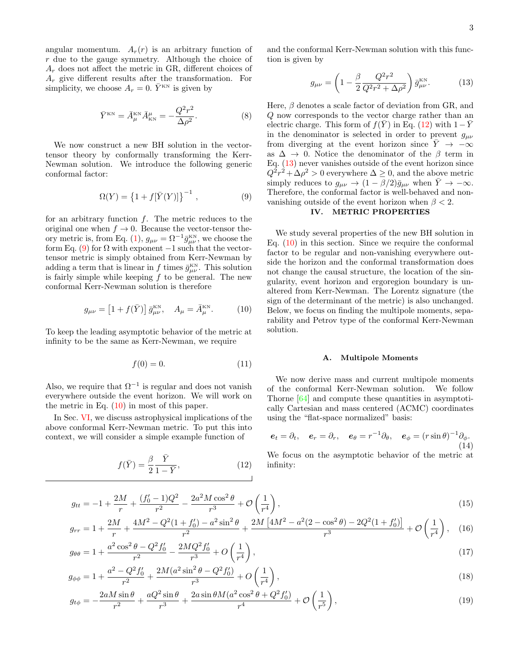angular momentum.  $A_r(r)$  is an arbitrary function of r due to the gauge symmetry. Although the choice of  $A_r$  does not affect the metric in GR, different choices of  $A_r$  give different results after the transformation. For simplicity, we choose  $A_r = 0$ .  $\bar{Y}^{\text{\tiny KN}}$  is given by

$$
\bar{Y}^{\text{KN}} = \bar{A}_{\mu}^{\text{KN}} \bar{A}_{\text{KN}}^{\mu} = -\frac{Q^2 r^2}{\Delta \rho^2}.
$$
 (8)

We now construct a new BH solution in the vectortensor theory by conformally transforming the Kerr-Newman solution. We introduce the following generic conformal factor:

<span id="page-2-1"></span>
$$
\Omega(Y) = \{1 + f[\bar{Y}(Y)]\}^{-1},
$$
\n(9)

for an arbitrary function f. The metric reduces to the original one when  $f \to 0$ . Because the vector-tensor the-ory metric is, from Eq. [\(1\)](#page-1-3),  $g_{\mu\nu} = \Omega^{-1} \bar{g}_{\mu\nu}^{\text{KN}}$ , we choose the form Eq. [\(9\)](#page-2-1) for  $\Omega$  with exponent  $-1$  such that the vectortensor metric is simply obtained from Kerr-Newman by adding a term that is linear in f times  $\bar{g}_{\mu\nu}^{\text{KN}}$ . This solution is fairly simple while keeping  $f$  to be general. The new conformal Kerr-Newman solution is therefore

$$
g_{\mu\nu} = [1 + f(\bar{Y})] \bar{g}^{\text{KN}}_{\mu\nu}, \quad A_{\mu} = \bar{A}^{\text{KN}}_{\mu}.
$$
 (10)

To keep the leading asymptotic behavior of the metric at infinity to be the same as Kerr-Newman, we require

$$
f(0) = 0.\t(11)
$$

Also, we require that  $\Omega^{-1}$  is regular and does not vanish everywhere outside the event horizon. We will work on the metric in Eq.  $(10)$  in most of this paper.

In Sec. [VI,](#page-7-0) we discuss astrophysical implications of the above conformal Kerr-Newman metric. To put this into context, we will consider a simple example function of

$$
f(\bar{Y}) = \frac{\beta}{2} \frac{\bar{Y}}{1 - \bar{Y}},\tag{12}
$$

and the conformal Kerr-Newman solution with this function is given by

<span id="page-2-4"></span>
$$
g_{\mu\nu} = \left(1 - \frac{\beta}{2} \frac{Q^2 r^2}{Q^2 r^2 + \Delta \rho^2}\right) \bar{g}_{\mu\nu}^{\text{KN}}.
$$
 (13)

Here,  $\beta$  denotes a scale factor of deviation from GR, and Q now corresponds to the vector charge rather than an electric charge. This form of  $f(\overline{Y})$  in Eq. [\(12\)](#page-2-3) with  $1-\overline{Y}$ in the denominator is selected in order to prevent  $g_{\mu\nu}$ from diverging at the event horizon since  $\overline{Y} \rightarrow -\infty$ as  $\Delta \rightarrow 0$ . Notice the denominator of the  $\beta$  term in Eq. [\(13\)](#page-2-4) never vanishes outside of the event horizon since  $Q^2r^2 + \Delta \rho^2 > 0$  everywhere  $\Delta \geq 0$ , and the above metric simply reduces to  $g_{\mu\nu} \to (1 - \beta/2)\bar{g}_{\mu\nu}$  when  $\bar{Y} \to -\infty$ . Therefore, the conformal factor is well-behaved and nonvanishing outside of the event horizon when  $\beta < 2$ .

# <span id="page-2-0"></span>IV. METRIC PROPERTIES

<span id="page-2-2"></span>We study several properties of the new BH solution in Eq.  $(10)$  in this section. Since we require the conformal factor to be regular and non-vanishing everywhere outside the horizon and the conformal transformation does not change the causal structure, the location of the singularity, event horizon and ergoregion boundary is unaltered from Kerr-Newman. The Lorentz signature (the sign of the determinant of the metric) is also unchanged. Below, we focus on finding the multipole moments, separability and Petrov type of the conformal Kerr-Newman solution.

### A. Multipole Moments

We now derive mass and current multipole moments of the conformal Kerr-Newman solution. We follow Thorne [\[64\]](#page-11-6) and compute these quantities in asymptotically Cartesian and mass centered (ACMC) coordinates using the "flat-space normalized" basis:

<span id="page-2-3"></span>
$$
\boldsymbol{e}_t = \partial_t, \quad \boldsymbol{e}_r = \partial_r, \quad \boldsymbol{e}_\theta = r^{-1} \partial_\theta, \quad \boldsymbol{e}_\phi = (r \sin \theta)^{-1} \partial_\phi. \tag{14}
$$

We focus on the asymptotic behavior of the metric at infinity:

<span id="page-2-5"></span>
$$
g_{tt} = -1 + \frac{2M}{r} + \frac{(f_0' - 1)Q^2}{r^2} - \frac{2a^2M\cos^2\theta}{r^3} + \mathcal{O}\left(\frac{1}{r^4}\right),\tag{15}
$$

$$
g_{rr} = 1 + \frac{2M}{r} + \frac{4M^2 - Q^2(1+f'_0) - a^2\sin^2\theta}{r^2} + \frac{2M\left[4M^2 - a^2(2-\cos^2\theta) - 2Q^2(1+f'_0)\right]}{r^3} + \mathcal{O}\left(\frac{1}{r^4}\right), \quad (16)
$$

$$
g_{\theta\theta} = 1 + \frac{a^2 \cos^2 \theta - Q^2 f_0'}{r^2} - \frac{2MQ^2 f_0'}{r^3} + O\left(\frac{1}{r^4}\right),
$$
\n
$$
a^2 - Q^2 f' - 2M(a^2 \sin^2 \theta - Q^2 f') \tag{1}
$$

$$
g_{\phi\phi} = 1 + \frac{a^2 - Q^2 f_0'}{r^2} + \frac{2M(a^2 \sin^2 \theta - Q^2 f_0')}{r^3} + O\left(\frac{1}{r^4}\right),\tag{18}
$$

$$
g_{t\phi} = -\frac{2aM\sin\theta}{r^2} + \frac{aQ^2\sin\theta}{r^3} + \frac{2a\sin\theta M(a^2\cos^2\theta + Q^2f'_0)}{r^4} + \mathcal{O}\left(\frac{1}{r^5}\right),\tag{19}
$$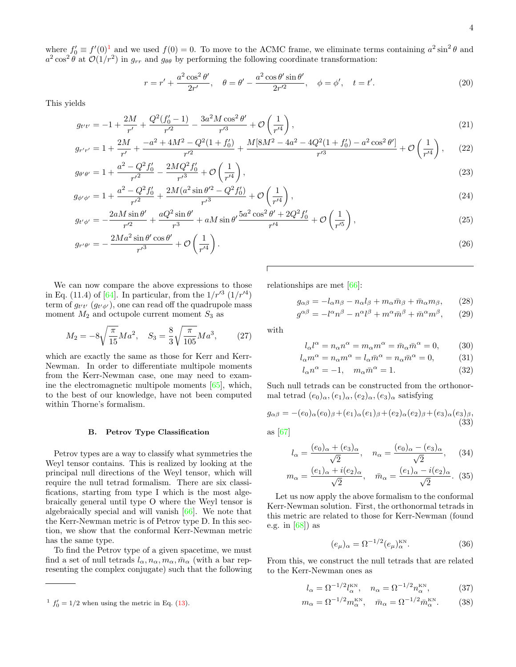where  $f'_0 \equiv f'(0)^1$  $f'_0 \equiv f'(0)^1$  and we used  $f(0) = 0$ . To move to the ACMC frame, we eliminate terms containing  $a^2 \sin^2 \theta$  and  $a^2 \cos^2 \theta$  at  $\mathcal{O}(1/r^2)$  in  $g_{rr}$  and  $g_{\theta\theta}$  by performing the following coordinate transformation:

$$
r = r' + \frac{a^2 \cos^2 \theta'}{2r'}, \quad \theta = \theta' - \frac{a^2 \cos \theta' \sin \theta'}{2r'^2}, \quad \phi = \phi', \quad t = t'.
$$
 (20)

This yields

$$
g_{t't'} = -1 + \frac{2M}{r'} + \frac{Q^2(f'_0 - 1)}{r'^2} - \frac{3a^2 M \cos^2 \theta'}{r'^3} + \mathcal{O}\left(\frac{1}{r'^4}\right),\tag{21}
$$

$$
g_{r'r'} = 1 + \frac{2M}{r'} + \frac{-a^2 + 4M^2 - Q^2(1+f'_0)}{r'^2} + \frac{M[8M^2 - 4a^2 - 4Q^2(1+f'_0) - a^2\cos^2\theta']}{r'^3} + \mathcal{O}\left(\frac{1}{r'^4}\right),\tag{22}
$$

$$
g_{\theta'\theta'} = 1 + \frac{a^2 - Q^2 f_0'}{r'^2} - \frac{2MQ^2 f_0'}{r'^3} + \mathcal{O}\left(\frac{1}{r'^4}\right),\tag{23}
$$

$$
g_{\phi'\phi'} = 1 + \frac{a^2 - Q^2 f_0'}{r'^2} + \frac{2M(a^2 \sin \theta'^2 - Q^2 f_0')}{r'^3} + \mathcal{O}\left(\frac{1}{r'^4}\right),\tag{24}
$$

$$
g_{t'\phi'} = -\frac{2aM\sin\theta'}{r'^2} + \frac{aQ^2\sin\theta'}{r^3} + aM\sin\theta' \frac{5a^2\cos^2\theta' + 2Q^2f'_0}{r'^4} + \mathcal{O}\left(\frac{1}{r'^5}\right),\tag{25}
$$

$$
g_{r'\theta'} = -\frac{2Ma^2\sin\theta'\cos\theta'}{r'^3} + \mathcal{O}\left(\frac{1}{r'^4}\right). \tag{26}
$$

We can now compare the above expressions to those in Eq. (11.4) of [\[64\]](#page-11-6). In particular, from the  $1/r'^3$  ( $1/r'^4$ ) term of  $g_{t't'}(g_{t'\phi'})$ , one can read off the quadrupole mass moment  $M_2$  and octupole current moment  $S_3$  as

$$
M_2 = -8\sqrt{\frac{\pi}{15}}Ma^2, \quad S_3 = \frac{8}{3}\sqrt{\frac{\pi}{105}}Ma^3, \tag{27}
$$

which are exactly the same as those for Kerr and Kerr-Newman. In order to differentiate multipole moments from the Kerr-Newman case, one may need to examine the electromagnetic multipole moments [\[65\]](#page-11-7), which, to the best of our knowledge, have not been computed within Thorne's formalism.

### B. Petrov Type Classification

Petrov types are a way to classify what symmetries the Weyl tensor contains. This is realized by looking at the principal null directions of the Weyl tensor, which will require the null tetrad formalism. There are six classifications, starting from type I which is the most algebraically general until type O where the Weyl tensor is algebraically special and will vanish [\[66\]](#page-11-8). We note that the Kerr-Newman metric is of Petrov type D. In this section, we show that the conformal Kerr-Newman metric has the same type.

To find the Petrov type of a given spacetime, we must find a set of null tetrads  $l_{\alpha}, n_{\alpha}, m_{\alpha}, \bar{m}_{\alpha}$  (with a bar representing the complex conjugate) such that the following

relationships are met [\[66\]](#page-11-8):

$$
g_{\alpha\beta} = -l_{\alpha}n_{\beta} - n_{\alpha}l_{\beta} + m_{\alpha}\bar{m}_{\beta} + \bar{m}_{\alpha}m_{\beta}, \qquad (28)
$$

$$
g^{\alpha\beta} = -l^{\alpha}n^{\beta} - n^{\alpha}l^{\beta} + m^{\alpha}\bar{m}^{\beta} + \bar{m}^{\alpha}m^{\beta}, \qquad (29)
$$

with

$$
l_{\alpha}l^{\alpha} = n_{\alpha}n^{\alpha} = m_{\alpha}m^{\alpha} = \bar{m}_{\alpha}\bar{m}^{\alpha} = 0, \qquad (30)
$$

$$
l_{\alpha}m^{\alpha} = n_{\alpha}m^{\alpha} = l_{\alpha}\bar{m}^{\alpha} = n_{\alpha}\bar{m}^{\alpha} = 0, \qquad (31)
$$

$$
l_{\alpha}n^{\alpha} = -1, \quad m_{\alpha}\bar{m}^{\alpha} = 1. \tag{32}
$$

Such null tetrads can be constructed from the orthonormal tetrad  $(e_0)_\alpha,(e_1)_\alpha,(e_2)_\alpha,(e_3)_\alpha$  satisfying

$$
g_{\alpha\beta} = -(e_0)_{\alpha}(e_0)_{\beta} + (e_1)_{\alpha}(e_1)_{\beta} + (e_2)_{\alpha}(e_2)_{\beta} + (e_3)_{\alpha}(e_3)_{\beta},
$$
  
(33)

as 
$$
[67]
$$

$$
l_{\alpha} = \frac{(e_0)_{\alpha} + (e_3)_{\alpha}}{\sqrt{2}}, \quad n_{\alpha} = \frac{(e_0)_{\alpha} - (e_3)_{\alpha}}{\sqrt{2}}, \quad (34)
$$

$$
m_{\alpha} = \frac{(e_1)_{\alpha} + i(e_2)_{\alpha}}{\sqrt{2}}, \quad \bar{m}_{\alpha} = \frac{(e_1)_{\alpha} - i(e_2)_{\alpha}}{\sqrt{2}}.
$$
 (35)

Let us now apply the above formalism to the conformal Kerr-Newman solution. First, the orthonormal tetrads in this metric are related to those for Kerr-Newman (found e.g. in [\[68\]](#page-11-10)) as

$$
(e_{\mu})_{\alpha} = \Omega^{-1/2} (e_{\mu})_{\alpha}^{\text{KN}}.
$$
\n(36)

From this, we construct the null tetrads that are related to the Kerr-Newman ones as

$$
l_{\alpha} = \Omega^{-1/2} l_{\alpha}^{\text{KN}}, \quad n_{\alpha} = \Omega^{-1/2} n_{\alpha}^{\text{KN}}, \tag{37}
$$

$$
m_{\alpha} = \Omega^{-1/2} m_{\alpha}^{\text{KN}}, \quad \bar{m}_{\alpha} = \Omega^{-1/2} \bar{m}_{\alpha}^{\text{KN}}.
$$
 (38)

<span id="page-3-0"></span> $1 f'_0 = 1/2$  when using the metric in Eq. [\(13\)](#page-2-4).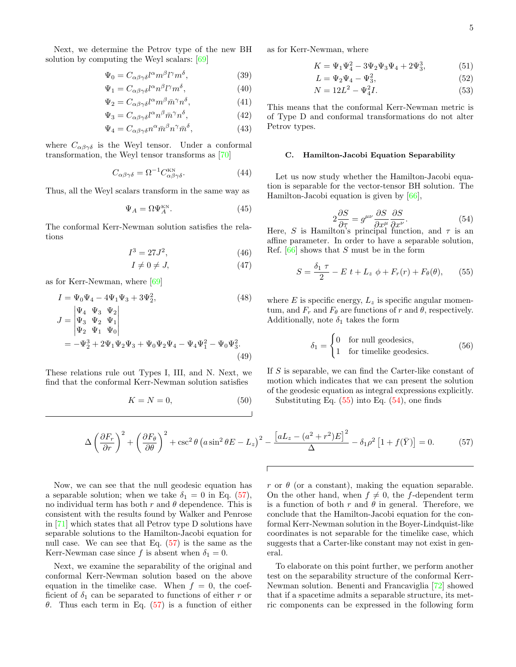Next, we determine the Petrov type of the new BH solution by computing the Weyl scalars: [\[69\]](#page-11-11)

$$
\Psi_0 = C_{\alpha\beta\gamma\delta} l^{\alpha} m^{\beta} l^{\gamma} m^{\delta},\tag{39}
$$

$$
\Psi_1 = C_{\alpha\beta\gamma\delta} l^{\alpha} n^{\beta} l^{\gamma} m^{\delta},\tag{40}
$$

$$
\Psi_2 = C_{\alpha\beta\gamma\delta} l^{\alpha} m^{\beta} \bar{m}^{\gamma} n^{\delta},\tag{41}
$$

$$
\Psi_3 = C_{\alpha\beta\gamma\delta} l^{\alpha} n^{\beta} \bar{m}^{\gamma} n^{\delta},\tag{42}
$$

$$
\Psi_4 = C_{\alpha\beta\gamma\delta} n^{\alpha} \bar{m}^{\beta} n^{\gamma} \bar{m}^{\delta},\tag{43}
$$

where  $C_{\alpha\beta\gamma\delta}$  is the Weyl tensor. Under a conformal transformation, the Weyl tensor transforms as [\[70\]](#page-11-12)

$$
C_{\alpha\beta\gamma\delta} = \Omega^{-1} C_{\alpha\beta\gamma\delta}^{\text{KN}}.
$$
 (44)

Thus, all the Weyl scalars transform in the same way as

$$
\Psi_A = \Omega \Psi_A^{\text{KN}}.\tag{45}
$$

The conformal Kerr-Newman solution satisfies the relations

$$
I^3 = 27J^2, \t\t(46)
$$

$$
I \neq 0 \neq J,\tag{47}
$$

as for Kerr-Newman, where [\[69\]](#page-11-11)

$$
I = \Psi_0 \Psi_4 - 4\Psi_1 \Psi_3 + 3\Psi_2^2,
$$
\n
$$
J = \begin{vmatrix} \Psi_4 & \Psi_3 & \Psi_2 \\ \Psi_3 & \Psi_2 & \Psi_1 \\ \Psi_2 & \Psi_1 & \Psi_0 \end{vmatrix}
$$
\n
$$
= -\Psi_2^3 + 2\Psi_1 \Psi_2 \Psi_3 + \Psi_0 \Psi_2 \Psi_4 - \Psi_4 \Psi_1^2 - \Psi_0 \Psi_3^2.
$$
\n(49)

These relations rule out Types I, III, and N. Next, we find that the conformal Kerr-Newman solution satisfies

$$
K = N = 0,\t\t(50)
$$

as for Kerr-Newman, where

$$
K = \Psi_1 \Psi_4^2 - 3\Psi_2 \Psi_3 \Psi_4 + 2\Psi_3^3, \tag{51}
$$

$$
L = \Psi_2 \Psi_4 - \Psi_3^2,\tag{52}
$$

$$
N = 12L^2 - \Psi_4^2 I.
$$
 (53)

This means that the conformal Kerr-Newman metric is of Type D and conformal transformations do not alter Petrov types.

### C. Hamilton-Jacobi Equation Separability

Let us now study whether the Hamilton-Jacobi equation is separable for the vector-tensor BH solution. The Hamilton-Jacobi equation is given by [\[66\]](#page-11-8),

<span id="page-4-1"></span>
$$
2\frac{\partial S}{\partial \tau} = g^{\mu\nu} \frac{\partial S}{\partial x^{\mu}} \frac{\partial S}{\partial x^{\nu}}.
$$
 (54)

 $2\frac{\partial}{\partial \tau} = g^{\mu\nu}\frac{\partial}{\partial x^{\mu}}\frac{\partial}{\partial x^{\nu}}$ . (54)<br>Here, *S* is Hamilton's principal function, and  $\tau$  is an affine parameter. In order to have a separable solution, Ref.  $[66]$  shows that S must be in the form

<span id="page-4-0"></span>
$$
S = \frac{\delta_1 \tau}{2} - E \ t + L_z \ \phi + F_r(r) + F_\theta(\theta), \qquad (55)
$$

where  $E$  is specific energy,  $L_z$  is specific angular momentum, and  $F_r$  and  $F_\theta$  are functions of r and  $\theta$ , respectively. Additionally, note  $\delta_1$  takes the form

$$
\delta_1 = \begin{cases} 0 & \text{for null geodesics,} \\ 1 & \text{for timelike geodesics.} \end{cases} \tag{56}
$$

If S is separable, we can find the Carter-like constant of motion which indicates that we can present the solution of the geodesic equation as integral expressions explicitly.

Substituting Eq.  $(55)$  into Eq.  $(54)$ , one finds

<span id="page-4-2"></span>
$$
\Delta \left(\frac{\partial F_r}{\partial r}\right)^2 + \left(\frac{\partial F_\theta}{\partial \theta}\right)^2 + \csc^2 \theta \left(a \sin^2 \theta E - L_z\right)^2 - \frac{\left[aL_z - (a^2 + r^2)E\right]^2}{\Delta} - \delta_1 \rho^2 \left[1 + f(\bar{Y})\right] = 0. \tag{57}
$$

Now, we can see that the null geodesic equation has a separable solution; when we take  $\delta_1 = 0$  in Eq. [\(57\)](#page-4-2), no individual term has both r and  $\theta$  dependence. This is consistent with the results found by Walker and Penrose in [\[71\]](#page-11-13) which states that all Petrov type D solutions have separable solutions to the Hamilton-Jacobi equation for null case. We can see that Eq. [\(57\)](#page-4-2) is the same as the Kerr-Newman case since f is absent when  $\delta_1 = 0$ .

Next, we examine the separability of the original and conformal Kerr-Newman solution based on the above equation in the timelike case. When  $f = 0$ , the coefficient of  $\delta_1$  can be separated to functions of either r or θ. Thus each term in Eq. [\(57\)](#page-4-2) is a function of either r or  $\theta$  (or a constant), making the equation separable. On the other hand, when  $f \neq 0$ , the f-dependent term is a function of both r and  $\theta$  in general. Therefore, we conclude that the Hamilton-Jacobi equation for the conformal Kerr-Newman solution in the Boyer-Lindquist-like coordinates is not separable for the timelike case, which suggests that a Carter-like constant may not exist in general.

To elaborate on this point further, we perform another test on the separability structure of the conformal Kerr-Newman solution. Benenti and Francaviglia [\[72\]](#page-11-14) showed that if a spacetime admits a separable structure, its metric components can be expressed in the following form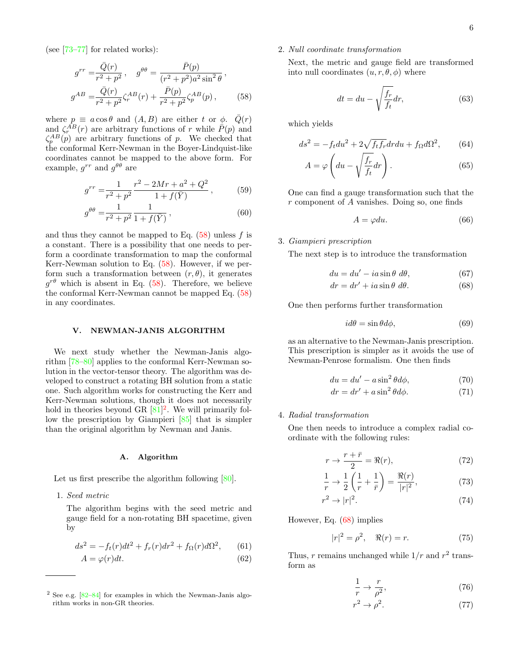(see [\[73–](#page-11-15)[77\]](#page-11-16) for related works):

$$
g^{rr} = \frac{\bar{Q}(r)}{r^2 + p^2}, \quad g^{\theta\theta} = \frac{\bar{P}(p)}{(r^2 + p^2)a^2\sin^2\theta},
$$

$$
g^{AB} = \frac{\bar{Q}(r)}{r^2 + p^2}\zeta_r^{AB}(r) + \frac{\bar{P}(p)}{r^2 + p^2}\zeta_p^{AB}(p), \quad (58)
$$

where  $p \equiv a \cos \theta$  and  $(A, B)$  are either t or  $\phi$ .  $\overline{Q}(r)$ and  $\zeta_r^{\hat{A}B}(r)$  are arbitrary functions of r while  $\hat{P}(p)$  and  $\zeta_p^{AB}(p)$  are arbitrary functions of p. We checked that the conformal Kerr-Newman in the Boyer-Lindquist-like coordinates cannot be mapped to the above form. For example,  $g^{rr}$  and  $g^{\theta\theta}$  are

$$
g^{rr} = \frac{1}{r^2 + p^2} \frac{r^2 - 2Mr + a^2 + Q^2}{1 + f(\bar{Y})},
$$
(59)

$$
g^{\theta\theta} = \frac{1}{r^2 + p^2} \frac{1}{1 + f(\bar{Y})},
$$
\n(60)

and thus they cannot be mapped to Eq.  $(58)$  unless f is a constant. There is a possibility that one needs to perform a coordinate transformation to map the conformal Kerr-Newman solution to Eq. [\(58\)](#page-5-1). However, if we perform such a transformation between  $(r, \theta)$ , it generates  $g^{r\theta}$  which is absent in Eq. [\(58\)](#page-5-1). Therefore, we believe the conformal Kerr-Newman cannot be mapped Eq. [\(58\)](#page-5-1) in any coordinates.

### <span id="page-5-0"></span>V. NEWMAN-JANIS ALGORITHM

We next study whether the Newman-Janis algorithm [\[78](#page-11-17)[–80\]](#page-11-18) applies to the conformal Kerr-Newman solution in the vector-tensor theory. The algorithm was developed to construct a rotating BH solution from a static one. Such algorithm works for constructing the Kerr and Kerr-Newman solutions, though it does not necessarily hold in theories beyond GR  $[81]^2$  $[81]^2$  $[81]^2$ . We will primarily follow the prescription by Giampieri [\[85\]](#page-11-20) that is simpler than the original algorithm by Newman and Janis.

### A. Algorithm

Let us first prescribe the algorithm following [\[80\]](#page-11-18).

1. Seed metric

The algorithm begins with the seed metric and gauge field for a non-rotating BH spacetime, given by

$$
ds^{2} = -f_{t}(r)dt^{2} + f_{r}(r)dr^{2} + f_{\Omega}(r)d\Omega^{2},
$$
 (61)

$$
A = \varphi(r)dt.
$$
\n(62)

# <span id="page-5-1"></span>2. Null coordinate transformation

Next, the metric and gauge field are transformed into null coordinates  $(u, r, \theta, \phi)$  where

$$
dt = du - \sqrt{\frac{f_r}{f_t}} dr,\t\t(63)
$$

which yields

$$
ds^2 = -f_t du^2 + 2\sqrt{f_t f_r} dr du + f_\Omega d\Omega^2,\qquad(64)
$$

$$
A = \varphi \left( du - \sqrt{\frac{f_r}{f_t}} dr \right). \tag{65}
$$

One can find a gauge transformation such that the r component of A vanishes. Doing so, one finds

$$
A = \varphi du. \tag{66}
$$

# 3. Giampieri prescription

The next step is to introduce the transformation

<span id="page-5-3"></span>
$$
du = du' - ia\sin\theta \ d\theta, \qquad (67)
$$

$$
dr = dr' + ia\sin\theta \ d\theta. \tag{68}
$$

One then performs further transformation

$$
id\theta = \sin\theta d\phi, \tag{69}
$$

as an alternative to the Newman-Janis prescription. This prescription is simpler as it avoids the use of Newman-Penrose formalism. One then finds

$$
du = du' - a\sin^2\theta d\phi, \tag{70}
$$

$$
dr = dr' + a\sin^2\theta d\phi.
$$
 (71)

# 4. Radial transformation

One then needs to introduce a complex radial coordinate with the following rules:

$$
r \to \frac{r + \bar{r}}{2} = \Re(r),\tag{72}
$$

$$
\frac{1}{r} \to \frac{1}{2} \left( \frac{1}{r} + \frac{1}{r} \right) = \frac{\Re(r)}{|r|^2},\tag{73}
$$

$$
r^2 \to |r|^2. \tag{74}
$$

However, Eq. [\(68\)](#page-5-3) implies

$$
|r|^2 = \rho^2, \quad \Re(r) = r. \tag{75}
$$

Thus, r remains unchanged while  $1/r$  and  $r^2$  transform as

<span id="page-5-4"></span>
$$
\frac{1}{r} \to \frac{r}{\rho^2},\tag{76}
$$

$$
r^2 \to \rho^2. \tag{77}
$$

<span id="page-5-2"></span> $2$  See e.g.  $[82-84]$  $[82-84]$  for examples in which the Newman-Janis algorithm works in non-GR theories.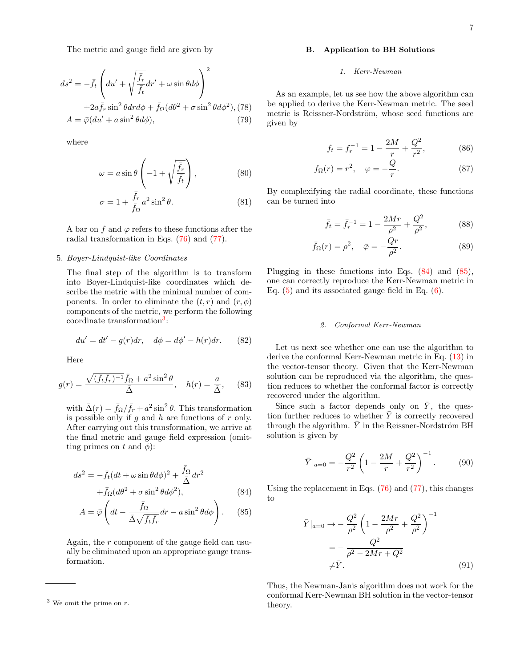The metric and gauge field are given by

$$
ds^{2} = -\bar{f}_{t} \left( du' + \sqrt{\frac{\bar{f}_{r}}{\bar{f}_{t}}} dr' + \omega \sin \theta d\phi \right)^{2}
$$

$$
+ 2a\bar{f}_{r} \sin^{2} \theta dr d\phi + \bar{f}_{\Omega} (d\theta^{2} + \sigma \sin^{2} \theta d\phi^{2}), (78)
$$

$$
A = \bar{\varphi}(du' + a \sin^{2} \theta d\phi), \qquad (79)
$$

where

$$
\omega = a \sin \theta \left( -1 + \sqrt{\frac{\bar{f}_r}{\bar{f}_t}} \right),\tag{80}
$$

$$
\sigma = 1 + \frac{\bar{f}_r}{\bar{f}_\Omega} a^2 \sin^2 \theta. \tag{81}
$$

A bar on f and  $\varphi$  refers to these functions after the radial transformation in Eqs. [\(76\)](#page-5-4) and [\(77\)](#page-5-4).

# 5. Boyer-Lindquist-like Coordinates

The final step of the algorithm is to transform into Boyer-Lindquist-like coordinates which describe the metric with the minimal number of components. In order to eliminate the  $(t, r)$  and  $(r, \phi)$ components of the metric, we perform the following coordinate transformation<sup>[3](#page-6-0)</sup>:

$$
du' = dt' - g(r)dr, \quad d\phi = d\phi' - h(r)dr. \tag{82}
$$

Here

$$
g(r) = \frac{\sqrt{(\bar{f}_t \bar{f}_r)^{-1}} \bar{f}_{\Omega} + a^2 \sin^2 \theta}{\bar{\Delta}}, \quad h(r) = \frac{a}{\bar{\Delta}}, \quad (83)
$$

with  $\bar{\Delta}(r) = \bar{f}_{\Omega}/\bar{f}_r + a^2 \sin^2 \theta$ . This transformation is possible only if q and  $h$  are functions of  $r$  only. After carrying out this transformation, we arrive at the final metric and gauge field expression (omitting primes on t and  $\phi$ :

<span id="page-6-1"></span>
$$
ds^{2} = -\bar{f}_{t}(dt + \omega \sin \theta d\phi)^{2} + \frac{\bar{f}_{\Omega}}{\bar{\Delta}} dr^{2}
$$

$$
+ \bar{f}_{\Omega}(d\theta^{2} + \sigma \sin^{2} \theta d\phi^{2}), \qquad (84)
$$

$$
A = \bar{\varphi} \left( dt - \frac{\bar{f}_{\Omega}}{\bar{\Delta}\sqrt{\bar{f}_{t}\bar{f}_{r}}} dr - a\sin^{2}\theta d\phi \right). \tag{85}
$$

Again, the r component of the gauge field can usually be eliminated upon an appropriate gauge transformation.

<span id="page-6-0"></span> $3$  We omit the prime on r.

# B. Application to BH Solutions

### 1. Kerr-Newman

As an example, let us see how the above algorithm can be applied to derive the Kerr-Newman metric. The seed metric is Reissner-Nordström, whose seed functions are given by

$$
f_t = f_r^{-1} = 1 - \frac{2M}{r} + \frac{Q^2}{r^2},
$$
 (86)

$$
f_{\Omega}(r) = r^2, \quad \varphi = -\frac{Q}{r}.
$$
 (87)

By complexifying the radial coordinate, these functions can be turned into

$$
\bar{f}_t = \bar{f}_r^{-1} = 1 - \frac{2Mr}{\rho^2} + \frac{Q^2}{\rho^2},
$$
 (88)

$$
\bar{f}_{\Omega}(r) = \rho^2, \quad \bar{\varphi} = -\frac{Qr}{\rho^2}.
$$
\n(89)

Plugging in these functions into Eqs. [\(84\)](#page-6-1) and [\(85\)](#page-6-1), one can correctly reproduce the Kerr-Newman metric in Eq. [\(5\)](#page-1-4) and its associated gauge field in Eq. [\(6\)](#page-1-4).

# 2. Conformal Kerr-Newman

Let us next see whether one can use the algorithm to derive the conformal Kerr-Newman metric in Eq. [\(13\)](#page-2-4) in the vector-tensor theory. Given that the Kerr-Newman solution can be reproduced via the algorithm, the question reduces to whether the conformal factor is correctly recovered under the algorithm.

Since such a factor depends only on  $\bar{Y}$ , the question further reduces to whether  $\overline{Y}$  is correctly recovered through the algorithm.  $\bar{Y}$  in the Reissner-Nordström BH solution is given by

$$
\bar{Y}|_{a=0} = -\frac{Q^2}{r^2} \left( 1 - \frac{2M}{r} + \frac{Q^2}{r^2} \right)^{-1}.
$$
 (90)

Using the replacement in Eqs. [\(76\)](#page-5-4) and [\(77\)](#page-5-4), this changes to

$$
\bar{Y}|_{a=0} \to -\frac{Q^2}{\rho^2} \left( 1 - \frac{2Mr}{\rho^2} + \frac{Q^2}{\rho^2} \right)^{-1} \n= -\frac{Q^2}{\rho^2 - 2Mr + Q^2} \n\neq \bar{Y}.
$$
\n(91)

Thus, the Newman-Janis algorithm does not work for the conformal Kerr-Newman BH solution in the vector-tensor theory.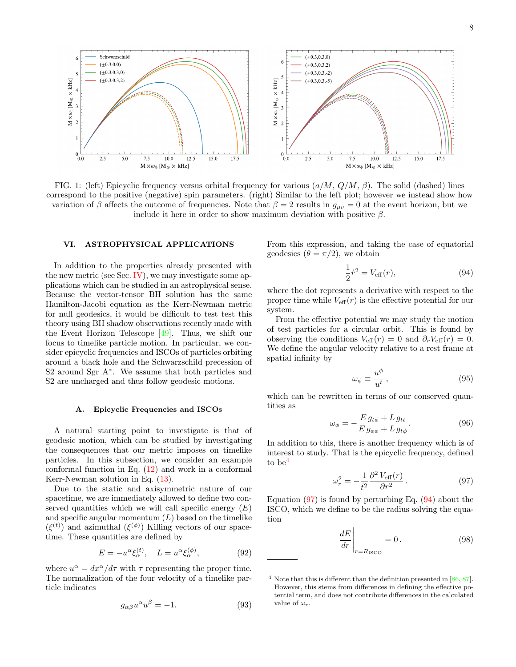<span id="page-7-4"></span>

FIG. 1: (left) Epicyclic frequency versus orbital frequency for various  $(a/M, Q/M, \beta)$ . The solid (dashed) lines correspond to the positive (negative) spin parameters. (right) Similar to the left plot; however we instead show how variation of β affects the outcome of frequencies. Note that  $\beta = 2$  results in  $g_{\mu\nu} = 0$  at the event horizon, but we include it here in order to show maximum deviation with positive  $\beta$ .

# <span id="page-7-0"></span>VI. ASTROPHYSICAL APPLICATIONS

In addition to the properties already presented with the new metric (see Sec. [IV\)](#page-2-0), we may investigate some applications which can be studied in an astrophysical sense. Because the vector-tensor BH solution has the same Hamilton-Jacobi equation as the Kerr-Newman metric for null geodesics, it would be difficult to test test this theory using BH shadow observations recently made with the Event Horizon Telescope [\[49\]](#page-10-28). Thus, we shift our focus to timelike particle motion. In particular, we consider epicyclic frequencies and ISCOs of particles orbiting around a black hole and the Schwarzschild precession of S<sub>2</sub> around Sgr A<sup>∗</sup>. We assume that both particles and S2 are uncharged and thus follow geodesic motions.

### A. Epicyclic Frequencies and ISCOs

A natural starting point to investigate is that of geodesic motion, which can be studied by investigating the consequences that our metric imposes on timelike particles. In this subsection, we consider an example conformal function in Eq.  $(12)$  and work in a conformal Kerr-Newman solution in Eq.  $(13)$ .

Due to the static and axisymmetric nature of our spacetime, we are immediately allowed to define two conserved quantities which we will call specific energy  $(E)$ and specific angular momentum  $(L)$  based on the timelike  $(\xi^{(t)})$  and azimuthal  $(\xi^{(\phi)})$  Killing vectors of our spacetime. These quantities are defined by

$$
E = -u^{\alpha} \xi_{\alpha}^{(t)}, \quad L = u^{\alpha} \xi_{\alpha}^{(\phi)}, \tag{92}
$$

where  $u^{\alpha} = dx^{\alpha}/d\tau$  with  $\tau$  representing the proper time. The normalization of the four velocity of a timelike particle indicates

$$
g_{\alpha\beta}u^{\alpha}u^{\beta} = -1.
$$
 (93)

From this expression, and taking the case of equatorial geodesics  $(\theta = \pi/2)$ , we obtain

<span id="page-7-3"></span>
$$
\frac{1}{2}\dot{r}^2 = V_{\text{eff}}(r),\tag{94}
$$

where the dot represents a derivative with respect to the proper time while  $V_{\text{eff}}(r)$  is the effective potential for our system.

From the effective potential we may study the motion of test particles for a circular orbit. This is found by observing the conditions  $V_{\text{eff}}(r) = 0$  and  $\partial_r V_{\text{eff}}(r) = 0$ . We define the angular velocity relative to a rest frame at spatial infinity by

$$
\omega_{\phi} \equiv \frac{u^{\phi}}{u^{t}}\,,\tag{95}
$$

<span id="page-7-5"></span>which can be rewritten in terms of our conserved quantities as

$$
\omega_{\phi} = -\frac{E g_{t\phi} + L g_{tt}}{E g_{\phi\phi} + L g_{t\phi}}.\tag{96}
$$

<span id="page-7-2"></span>In addition to this, there is another frequency which is of interest to study. That is the epicyclic frequency, defined to be[4](#page-7-1)

$$
\omega_r^2 = -\frac{1}{t^2} \frac{\partial^2 V_{\text{eff}}(r)}{\partial r^2}.
$$
 (97)

Equation  $(97)$  is found by perturbing Eq.  $(94)$  about the ISCO, which we define to be the radius solving the equation

$$
\left. \frac{dE}{dr} \right|_{r=R_{\text{ISCO}}} = 0. \tag{98}
$$

<span id="page-7-1"></span> $4$  Note that this is different than the definition presented in [\[86,](#page-11-23) [87\]](#page-11-24). However, this stems from differences in defining the effective potential term, and does not contribute differences in the calculated value of  $\omega_r$ .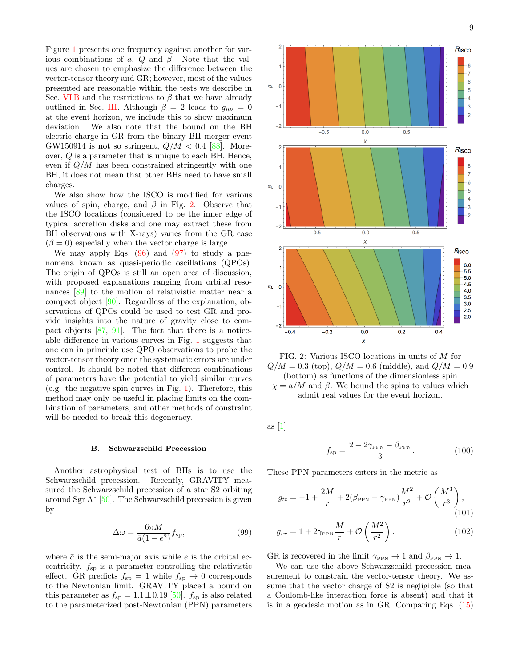Figure [1](#page-7-4) presents one frequency against another for various combinations of a, Q and  $\beta$ . Note that the values are chosen to emphasize the difference between the vector-tensor theory and GR; however, most of the values presented are reasonable within the tests we describe in Sec. VIB and the restrictions to  $\beta$  that we have already outlined in Sec. [III.](#page-1-1) Although  $\beta = 2$  leads to  $g_{\mu\nu} = 0$ at the event horizon, we include this to show maximum deviation. We also note that the bound on the BH electric charge in GR from the binary BH merger event GW150914 is not so stringent,  $Q/M < 0.4$  [\[88\]](#page-11-25). Moreover, Q is a parameter that is unique to each BH. Hence, even if  $Q/M$  has been constrained stringently with one BH, it does not mean that other BHs need to have small charges.

We also show how the ISCO is modified for various values of spin, charge, and  $\beta$  in Fig. [2.](#page-8-1) Observe that the ISCO locations (considered to be the inner edge of typical accretion disks and one may extract these from BH observations with X-rays) varies from the GR case  $(\beta = 0)$  especially when the vector charge is large.

We may apply Eqs.  $(96)$  and  $(97)$  to study a phenomena known as quasi-periodic oscillations (QPOs). The origin of QPOs is still an open area of discussion, with proposed explanations ranging from orbital resonances [\[89\]](#page-11-26) to the motion of relativistic matter near a compact object [\[90\]](#page-11-27). Regardless of the explanation, observations of QPOs could be used to test GR and provide insights into the nature of gravity close to compact objects [\[87,](#page-11-24) [91\]](#page-11-28). The fact that there is a noticeable difference in various curves in Fig. [1](#page-7-4) suggests that one can in principle use QPO observations to probe the vector-tensor theory once the systematic errors are under control. It should be noted that different combinations of parameters have the potential to yield similar curves (e.g. the negative spin curves in Fig. [1\)](#page-7-4). Therefore, this method may only be useful in placing limits on the combination of parameters, and other methods of constraint will be needed to break this degeneracy.

### <span id="page-8-0"></span>B. Schwarzschild Precession

Another astrophysical test of BHs is to use the Schwarzschild precession. Recently, GRAVITY measured the Schwarzschild precession of a star S2 orbiting around Sgr A<sup>∗</sup> [\[50\]](#page-10-29). The Schwarzschild precession is given by

$$
\Delta \omega = \frac{6\pi M}{\bar{a}(1 - e^2)} f_{\rm sp},\tag{99}
$$

where  $\bar{a}$  is the semi-major axis while e is the orbital eccentricity.  $f_{sp}$  is a parameter controlling the relativistic effect. GR predicts  $f_{sp} = 1$  while  $f_{sp} \rightarrow 0$  corresponds to the Newtonian limit. GRAVITY placed a bound on this parameter as  $f_{sp} = 1.1 \pm 0.19$  [\[50\]](#page-10-29).  $f_{sp}$  is also related to the parameterized post-Newtonian (PPN) parameters

<span id="page-8-1"></span>

FIG. 2: Various ISCO locations in units of M for  $Q/M = 0.3$  (top),  $Q/M = 0.6$  (middle), and  $Q/M = 0.9$ (bottom) as functions of the dimensionless spin  $\chi = a/M$  and  $\beta$ . We bound the spins to values which admit real values for the event horizon.

as [\[1\]](#page-10-0)

<span id="page-8-2"></span>
$$
f_{\rm sp} = \frac{2 - 2\gamma_{\rm PPN} - \beta_{\rm PPN}}{3}.
$$
 (100)

These PPN parameters enters in the metric as

$$
g_{tt} = -1 + \frac{2M}{r} + 2(\beta_{\text{PPN}} - \gamma_{\text{PPN}}) \frac{M^2}{r^2} + \mathcal{O}\left(\frac{M^3}{r^3}\right),\tag{101}
$$

$$
g_{rr} = 1 + 2\gamma_{\text{PPN}} \frac{M}{r} + \mathcal{O}\left(\frac{M^2}{r^2}\right). \tag{102}
$$

GR is recovered in the limit  $\gamma_{PPN} \rightarrow 1$  and  $\beta_{PPN} \rightarrow 1$ .

We can use the above Schwarzschild precession measurement to constrain the vector-tensor theory. We assume that the vector charge of S2 is negligible (so that a Coulomb-like interaction force is absent) and that it is in a geodesic motion as in GR. Comparing Eqs. [\(15\)](#page-2-5)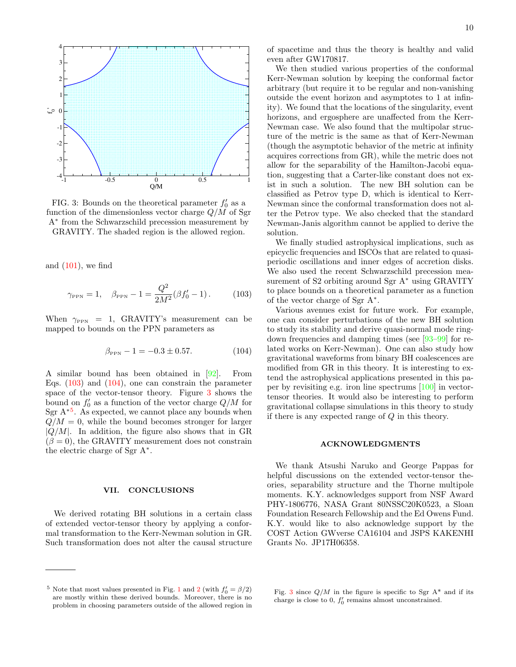<span id="page-9-3"></span>

FIG. 3: Bounds on the theoretical parameter  $f_0'$  as a function of the dimensionless vector charge  $Q/M$  of Sgr A<sup>∗</sup> from the Schwarzschild precession measurement by GRAVITY. The shaded region is the allowed region.

and  $(101)$ , we find

<span id="page-9-1"></span>
$$
\gamma_{\text{PPN}} = 1, \quad \beta_{\text{PPN}} - 1 = \frac{Q^2}{2M^2} (\beta f'_0 - 1).
$$
 (103)

When  $\gamma_{PPN}$  = 1, GRAVITY's measurement can be mapped to bounds on the PPN parameters as

$$
\beta_{PPN} - 1 = -0.3 \pm 0.57. \tag{104}
$$

A similar bound has been obtained in [\[92\]](#page-11-29). From Eqs. [\(103\)](#page-9-1) and [\(104\)](#page-9-2), one can constrain the parameter space of the vector-tensor theory. Figure [3](#page-9-3) shows the bound on  $f'_0$  as a function of the vector charge  $Q/M$  for Sgr  $A^{*5}$  $A^{*5}$  $A^{*5}$ . As expected, we cannot place any bounds when  $Q/M = 0$ , while the bound becomes stronger for larger  $|Q/M|$ . In addition, the figure also shows that in GR  $(\beta = 0)$ , the GRAVITY measurement does not constrain the electric charge of Sgr A<sup>∗</sup> .

# <span id="page-9-0"></span>VII. CONCLUSIONS

We derived rotating BH solutions in a certain class of extended vector-tensor theory by applying a conformal transformation to the Kerr-Newman solution in GR. Such transformation does not alter the causal structure of spacetime and thus the theory is healthy and valid even after GW170817.

We then studied various properties of the conformal Kerr-Newman solution by keeping the conformal factor arbitrary (but require it to be regular and non-vanishing outside the event horizon and asymptotes to 1 at infinity). We found that the locations of the singularity, event horizons, and ergosphere are unaffected from the Kerr-Newman case. We also found that the multipolar structure of the metric is the same as that of Kerr-Newman (though the asymptotic behavior of the metric at infinity acquires corrections from GR), while the metric does not allow for the separability of the Hamilton-Jacobi equation, suggesting that a Carter-like constant does not exist in such a solution. The new BH solution can be classified as Petrov type D, which is identical to Kerr-Newman since the conformal transformation does not alter the Petrov type. We also checked that the standard Newman-Janis algorithm cannot be applied to derive the solution.

We finally studied astrophysical implications, such as epicyclic frequencies and ISCOs that are related to quasiperiodic oscillations and inner edges of accretion disks. We also used the recent Schwarzschild precession measurement of S2 orbiting around Sgr A<sup>∗</sup> using GRAVITY to place bounds on a theoretical parameter as a function of the vector charge of Sgr A<sup>∗</sup> .

<span id="page-9-2"></span>Various avenues exist for future work. For example, one can consider perturbations of the new BH solution to study its stability and derive quasi-normal mode ringdown frequencies and damping times (see [\[93–](#page-11-30)[99\]](#page-11-31) for related works on Kerr-Newman). One can also study how gravitational waveforms from binary BH coalescences are modified from GR in this theory. It is interesting to extend the astrophysical applications presented in this paper by revisiting e.g. iron line spectrums [\[100\]](#page-11-32) in vectortensor theories. It would also be interesting to perform gravitational collapse simulations in this theory to study if there is any expected range of  $Q$  in this theory.

# ACKNOWLEDGMENTS

We thank Atsushi Naruko and George Pappas for helpful discussions on the extended vector-tensor theories, separability structure and the Thorne multipole moments. K.Y. acknowledges support from NSF Award PHY-1806776, NASA Grant 80NSSC20K0523, a Sloan Foundation Research Fellowship and the Ed Owens Fund. K.Y. would like to also acknowledge support by the COST Action GWverse CA16104 and JSPS KAKENHI Grants No. JP17H06358.

<span id="page-9-4"></span><sup>&</sup>lt;sup>5</sup> Note that most values presented in Fig. [1](#page-7-4) and [2](#page-8-1) (with  $f'_0 = \beta/2$ ) are mostly within these derived bounds. Moreover, there is no problem in choosing parameters outside of the allowed region in

Fig. [3](#page-9-3) since  $Q/M$  in the figure is specific to Sgr A\* and if its charge is close to 0,  $f_0'$  remains almost unconstrained.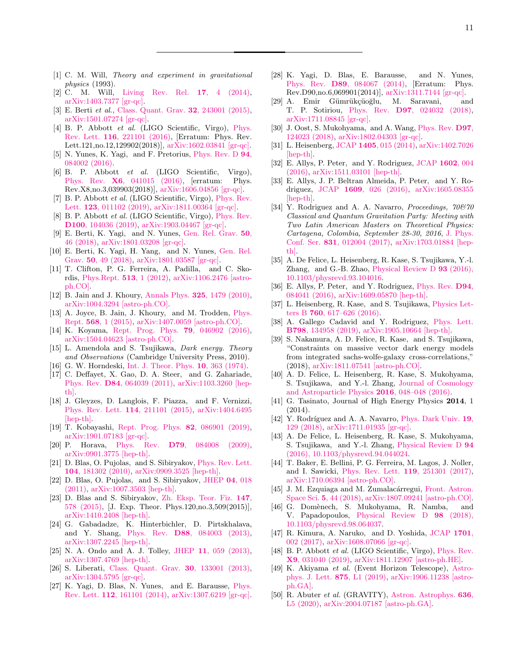- <span id="page-10-0"></span>[1] C. M. Will, Theory and experiment in gravitational physics (1993).
- [2] C. M. Will, [Living Rev. Rel.](http://dx.doi.org/10.12942/lrr-2014-4) 17, 4 (2014), [arXiv:1403.7377 \[gr-qc\].](http://arxiv.org/abs/1403.7377)
- <span id="page-10-1"></span>[3] E. Berti et al., [Class. Quant. Grav.](http://dx.doi.org/10.1088/0264-9381/32/24/243001) 32, 243001 (2015), [arXiv:1501.07274 \[gr-qc\].](http://arxiv.org/abs/1501.07274)
- <span id="page-10-2"></span>[4] B. P. Abbott et al. (LIGO Scientific, Virgo), [Phys.](http://dx.doi.org/10.1103/PhysRevLett.116.221101, 10.1103/PhysRevLett.121.129902) Rev. Lett. 116[, 221101 \(2016\),](http://dx.doi.org/10.1103/PhysRevLett.116.221101, 10.1103/PhysRevLett.121.129902) [Erratum: Phys. Rev. Lett.121,no.12,129902(2018)], [arXiv:1602.03841 \[gr-qc\].](http://arxiv.org/abs/1602.03841)
- [5] N. Yunes, K. Yagi, and F. Pretorius, [Phys. Rev. D](http://dx.doi.org/10.1103/PhysRevD.94.084002) 94, [084002 \(2016\).](http://dx.doi.org/10.1103/PhysRevD.94.084002)
- [6] B. P. Abbott et al. (LIGO Scientific, Virgo), Phys. Rev. X6[, 041015 \(2016\),](http://dx.doi.org/10.1103/PhysRevX.6.041015, 10.1103/PhysRevX.8.039903) [erratum: Phys. Rev.X8,no.3,039903(2018)], [arXiv:1606.04856 \[gr-qc\].](http://arxiv.org/abs/1606.04856)
- [7] B. P. Abbott *et al.* (LIGO Scientific, Virgo), [Phys. Rev.](http://dx.doi.org/10.1103/PhysRevLett.123.011102) Lett. **123**[, 011102 \(2019\),](http://dx.doi.org/10.1103/PhysRevLett.123.011102) [arXiv:1811.00364 \[gr-qc\].](http://arxiv.org/abs/1811.00364)
- [8] B. P. Abbott *et al.* (LIGO Scientific, Virgo), *[Phys. Rev.](http://dx.doi.org/10.1103/PhysRevD.100.104036)* D100[, 104036 \(2019\),](http://dx.doi.org/10.1103/PhysRevD.100.104036) [arXiv:1903.04467 \[gr-qc\].](http://arxiv.org/abs/1903.04467)
- [9] E. Berti, K. Yagi, and N. Yunes, [Gen. Rel. Grav.](http://dx.doi.org/10.1007/s10714-018-2362-8) 50, [46 \(2018\),](http://dx.doi.org/10.1007/s10714-018-2362-8) [arXiv:1801.03208 \[gr-qc\].](http://arxiv.org/abs/1801.03208)
- <span id="page-10-3"></span>[10] E. Berti, K. Yagi, H. Yang, and N. Yunes, [Gen. Rel.](http://dx.doi.org/ 10.1007/s10714-018-2372-6) Grav. 50[, 49 \(2018\),](http://dx.doi.org/ 10.1007/s10714-018-2372-6) [arXiv:1801.03587 \[gr-qc\].](http://arxiv.org/abs/1801.03587)
- <span id="page-10-4"></span>[11] T. Clifton, P. G. Ferreira, A. Padilla, and C. Skordis, [Phys.Rept.](http://dx.doi.org/10.1016/j.physrep.2012.01.001) 513, 1 (2012), [arXiv:1106.2476 \[astro](http://arxiv.org/abs/1106.2476)[ph.CO\].](http://arxiv.org/abs/1106.2476)
- [12] B. Jain and J. Khoury, Annals Phys. **325**[, 1479 \(2010\),](http://dx.doi.org/10.1016/j.aop.2010.04.002) [arXiv:1004.3294 \[astro-ph.CO\].](http://arxiv.org/abs/1004.3294)
- [13] A. Joyce, B. Jain, J. Khoury, and M. Trodden, [Phys.](http://dx.doi.org/ 10.1016/j.physrep.2014.12.002) Rept. 568[, 1 \(2015\),](http://dx.doi.org/ 10.1016/j.physrep.2014.12.002) [arXiv:1407.0059 \[astro-ph.CO\].](http://arxiv.org/abs/1407.0059)
- [14] K. Koyama, [Rept. Prog. Phys.](http://dx.doi.org/10.1088/0034-4885/79/4/046902) 79, 046902 (2016), [arXiv:1504.04623 \[astro-ph.CO\].](http://arxiv.org/abs/1504.04623)
- <span id="page-10-5"></span>[15] L. Amendola and S. Tsujikawa, *Dark energy. Theory* and Observations (Cambridge University Press, 2010).
- <span id="page-10-6"></span>[16] G. W. Horndeski, [Int. J. Theor. Phys.](http://dx.doi.org/10.1007/BF01807638) 10, 363 (1974).
- <span id="page-10-7"></span>[17] C. Deffayet, X. Gao, D. A. Steer, and G. Zahariade, Phys. Rev. D84[, 064039 \(2011\),](http://dx.doi.org/10.1103/PhysRevD.84.064039) [arXiv:1103.3260 \[hep](http://arxiv.org/abs/1103.3260)[th\].](http://arxiv.org/abs/1103.3260)
- <span id="page-10-8"></span>[18] J. Gleyzes, D. Langlois, F. Piazza, and F. Vernizzi, [Phys. Rev. Lett.](http://dx.doi.org/ 10.1103/PhysRevLett.114.211101) 114, 211101 (2015), [arXiv:1404.6495](http://arxiv.org/abs/1404.6495) [\[hep-th\].](http://arxiv.org/abs/1404.6495)
- <span id="page-10-9"></span>[19] T. Kobayashi, [Rept. Prog. Phys.](http://dx.doi.org/10.1088/1361-6633/ab2429) 82, 086901 (2019), [arXiv:1901.07183 \[gr-qc\].](http://arxiv.org/abs/1901.07183)
- <span id="page-10-10"></span>[20] P. Horava, Phys. Rev. D79[, 084008 \(2009\),](http://dx.doi.org/10.1103/PhysRevD.79.084008) [arXiv:0901.3775 \[hep-th\].](http://arxiv.org/abs/0901.3775)
- [21] D. Blas, O. Pujolas, and S. Sibiryakov, [Phys. Rev. Lett.](http://dx.doi.org/10.1103/PhysRevLett.104.181302) 104[, 181302 \(2010\),](http://dx.doi.org/10.1103/PhysRevLett.104.181302) [arXiv:0909.3525 \[hep-th\].](http://arxiv.org/abs/0909.3525)
- [22] D. Blas, O. Pujolas, and S. Sibiryakov, [JHEP](http://dx.doi.org/10.1007/JHEP04(2011)018) 04, 018 [\(2011\),](http://dx.doi.org/10.1007/JHEP04(2011)018) [arXiv:1007.3503 \[hep-th\].](http://arxiv.org/abs/1007.3503)
- <span id="page-10-11"></span>[23] D. Blas and S. Sibiryakov, [Zh. Eksp. Teor. Fiz.](http://dx.doi.org/10.7868/S0044451015030180, 10.1134/S1063776115030164) 147, [578 \(2015\),](http://dx.doi.org/10.7868/S0044451015030180, 10.1134/S1063776115030164) [J. Exp. Theor. Phys.120,no.3,509(2015)], [arXiv:1410.2408 \[hep-th\].](http://arxiv.org/abs/1410.2408)
- <span id="page-10-12"></span>[24] G. Gabadadze, K. Hinterbichler, D. Pirtskhalava, and Y. Shang, Phys. Rev. D88[, 084003 \(2013\),](http://dx.doi.org/10.1103/PhysRevD.88.084003) [arXiv:1307.2245 \[hep-th\].](http://arxiv.org/abs/1307.2245)
- <span id="page-10-13"></span>[25] N. A. Ondo and A. J. Tolley, JHEP 11[, 059 \(2013\),](http://dx.doi.org/10.1007/JHEP11(2013)059) [arXiv:1307.4769 \[hep-th\].](http://arxiv.org/abs/1307.4769)
- <span id="page-10-14"></span>[26] S. Liberati, [Class. Quant. Grav.](http://dx.doi.org/10.1088/0264-9381/30/13/133001) 30, 133001 (2013), [arXiv:1304.5795 \[gr-qc\].](http://arxiv.org/abs/1304.5795)
- <span id="page-10-15"></span>[27] K. Yagi, D. Blas, N. Yunes, and E. Barausse, [Phys.](http://dx.doi.org/ 10.1103/PhysRevLett.112.161101) Rev. Lett. 112[, 161101 \(2014\),](http://dx.doi.org/ 10.1103/PhysRevLett.112.161101) [arXiv:1307.6219 \[gr-qc\].](http://arxiv.org/abs/1307.6219)
- [28] K. Yagi, D. Blas, E. Barausse, and N. Yunes, Phys. Rev. D89[, 084067 \(2014\),](http://dx.doi.org/ 10.1103/PhysRevD.90.069902, 10.1103/PhysRevD.90.069901, 10.1103/PhysRevD.89.084067) [Erratum: Phys. Rev.D90,no.6,069901(2014)], [arXiv:1311.7144 \[gr-qc\].](http://arxiv.org/abs/1311.7144)
- [29] A. Emir Gümrükçüoğlu, M. Saravani, and T. P. Sotiriou, Phys. Rev. D97[, 024032 \(2018\),](http://dx.doi.org/10.1103/PhysRevD.97.024032) [arXiv:1711.08845 \[gr-qc\].](http://arxiv.org/abs/1711.08845)
- <span id="page-10-16"></span>[30] J. Oost, S. Mukohyama, and A. Wang, [Phys. Rev.](http://dx.doi.org/10.1103/PhysRevD.97.124023) D97, [124023 \(2018\),](http://dx.doi.org/10.1103/PhysRevD.97.124023) [arXiv:1802.04303 \[gr-qc\].](http://arxiv.org/abs/1802.04303)
- <span id="page-10-17"></span>[31] L. Heisenberg, JCAP 1405[, 015 \(2014\),](http://dx.doi.org/10.1088/1475-7516/2014/05/015) [arXiv:1402.7026](http://arxiv.org/abs/1402.7026) [\[hep-th\].](http://arxiv.org/abs/1402.7026)
- [32] E. Allys, P. Peter, and Y. Rodriguez, [JCAP](http://dx.doi.org/10.1088/1475-7516/2016/02/004) 1602, 004 [\(2016\),](http://dx.doi.org/10.1088/1475-7516/2016/02/004) [arXiv:1511.03101 \[hep-th\].](http://arxiv.org/abs/1511.03101)
- [33] E. Allys, J. P. Beltran Almeida, P. Peter, and Y. Rodriguez, JCAP 1609[, 026 \(2016\),](http://dx.doi.org/10.1088/1475-7516/2016/09/026) [arXiv:1605.08355](http://arxiv.org/abs/1605.08355) [\[hep-th\].](http://arxiv.org/abs/1605.08355)
- [34] Y. Rodriguez and A. A. Navarro, Proceedings,  $70670$ Classical and Quantum Gravitation Party: Meeting with Two Latin American Masters on Theoretical Physics: Cartagena, Colombia, September 28-30, 2016, [J. Phys.](http://dx.doi.org/10.1088/1742-6596/831/1/012004) Conf. Ser. 831[, 012004 \(2017\),](http://dx.doi.org/10.1088/1742-6596/831/1/012004) [arXiv:1703.01884 \[hep](http://arxiv.org/abs/1703.01884)[th\].](http://arxiv.org/abs/1703.01884)
- [35] A. De Felice, L. Heisenberg, R. Kase, S. Tsujikawa, Y.-l. Zhang, and G.-B. Zhao, [Physical Review D](http://dx.doi.org/ 10.1103/physrevd.93.104016) 93 (2016), [10.1103/physrevd.93.104016.](http://dx.doi.org/ 10.1103/physrevd.93.104016)
- <span id="page-10-18"></span>[36] E. Allys, P. Peter, and Y. Rodriguez, [Phys. Rev.](http://dx.doi.org/10.1103/PhysRevD.94.084041) D94, [084041 \(2016\),](http://dx.doi.org/10.1103/PhysRevD.94.084041) [arXiv:1609.05870 \[hep-th\].](http://arxiv.org/abs/1609.05870)
- <span id="page-10-19"></span>[37] L. Heisenberg, R. Kase, and S. Tsujikawa, [Physics Let](http://dx.doi.org/10.1016/j.physletb.2016.07.052)ters B 760[, 617–626 \(2016\).](http://dx.doi.org/10.1016/j.physletb.2016.07.052)
- <span id="page-10-20"></span>[38] A. Gallego Cadavid and Y. Rodriguez, [Phys. Lett.](http://dx.doi.org/10.1016/j.physletb.2019.134958) B798[, 134958 \(2019\),](http://dx.doi.org/10.1016/j.physletb.2019.134958) [arXiv:1905.10664 \[hep-th\].](http://arxiv.org/abs/1905.10664)
- <span id="page-10-21"></span>[39] S. Nakamura, A. D. Felice, R. Kase, and S. Tsujikawa, "Constraints on massive vector dark energy models from integrated sachs-wolfe-galaxy cross-correlations," (2018), [arXiv:1811.07541 \[astro-ph.CO\].](http://arxiv.org/abs/1811.07541)
- <span id="page-10-22"></span>[40] A. D. Felice, L. Heisenberg, R. Kase, S. Mukohyama, S. Tsujikawa, and Y.-l. Zhang, [Journal of Cosmology](http://dx.doi.org/ 10.1088/1475-7516/2016/06/048) [and Astroparticle Physics](http://dx.doi.org/ 10.1088/1475-7516/2016/06/048) 2016, 048–048 (2016).
- [41] G. Tasinato, Journal of High Energy Physics 2014, 1 (2014).
- [42] Y. Rodríguez and A. A. Navarro, [Phys. Dark Univ.](http://dx.doi.org/10.1016/j.dark.2018.01.003) 19, [129 \(2018\),](http://dx.doi.org/10.1016/j.dark.2018.01.003) [arXiv:1711.01935 \[gr-qc\].](http://arxiv.org/abs/1711.01935)
- <span id="page-10-23"></span>[43] A. De Felice, L. Heisenberg, R. Kase, S. Mukohyama, S. Tsujikawa, and Y.-l. Zhang, [Physical Review D](http://dx.doi.org/ 10.1103/physrevd.94.044024) 94 [\(2016\), 10.1103/physrevd.94.044024.](http://dx.doi.org/ 10.1103/physrevd.94.044024)
- <span id="page-10-24"></span>[44] T. Baker, E. Bellini, P. G. Ferreira, M. Lagos, J. Noller, and I. Sawicki, [Phys. Rev. Lett.](http://dx.doi.org/ 10.1103/PhysRevLett.119.251301) 119, 251301 (2017), [arXiv:1710.06394 \[astro-ph.CO\].](http://arxiv.org/abs/1710.06394)
- [45] J. M. Ezquiaga and M. Zumalacárregui, [Front. Astron.](http://dx.doi.org/10.3389/fspas.2018.00044) Space Sci. 5[, 44 \(2018\),](http://dx.doi.org/10.3389/fspas.2018.00044) [arXiv:1807.09241 \[astro-ph.CO\].](http://arxiv.org/abs/1807.09241)
- <span id="page-10-25"></span>[46] G. Domènech, S. Mukohyama, R. Namba, and V. Papadopoulos, [Physical Review D](http://dx.doi.org/10.1103/physrevd.98.064037) 98 (2018), [10.1103/physrevd.98.064037.](http://dx.doi.org/10.1103/physrevd.98.064037)
- <span id="page-10-26"></span>[47] R. Kimura, A. Naruko, and D. Yoshida, [JCAP](http://dx.doi.org/10.1088/1475-7516/2017/01/002) 1701, [002 \(2017\),](http://dx.doi.org/10.1088/1475-7516/2017/01/002) [arXiv:1608.07066 \[gr-qc\].](http://arxiv.org/abs/1608.07066)
- <span id="page-10-27"></span>[48] B. P. Abbott et al. (LIGO Scientific, Virgo), [Phys. Rev.](http://dx.doi.org/10.1103/PhysRevX.9.031040) X9[, 031040 \(2019\),](http://dx.doi.org/10.1103/PhysRevX.9.031040) [arXiv:1811.12907 \[astro-ph.HE\].](http://arxiv.org/abs/1811.12907)
- <span id="page-10-28"></span>[49] K. Akiyama et al. (Event Horizon Telescope), [Astro](http://dx.doi.org/10.3847/2041-8213/ab0ec7)[phys. J. Lett.](http://dx.doi.org/10.3847/2041-8213/ab0ec7) 875, L1 (2019), [arXiv:1906.11238 \[astro](http://arxiv.org/abs/1906.11238)[ph.GA\].](http://arxiv.org/abs/1906.11238)
- <span id="page-10-29"></span>[50] R. Abuter *et al.* (GRAVITY), [Astron. Astrophys.](http://dx.doi.org/10.1051/0004-6361/202037813) **636**, [L5 \(2020\),](http://dx.doi.org/10.1051/0004-6361/202037813) [arXiv:2004.07187 \[astro-ph.GA\].](http://arxiv.org/abs/2004.07187)